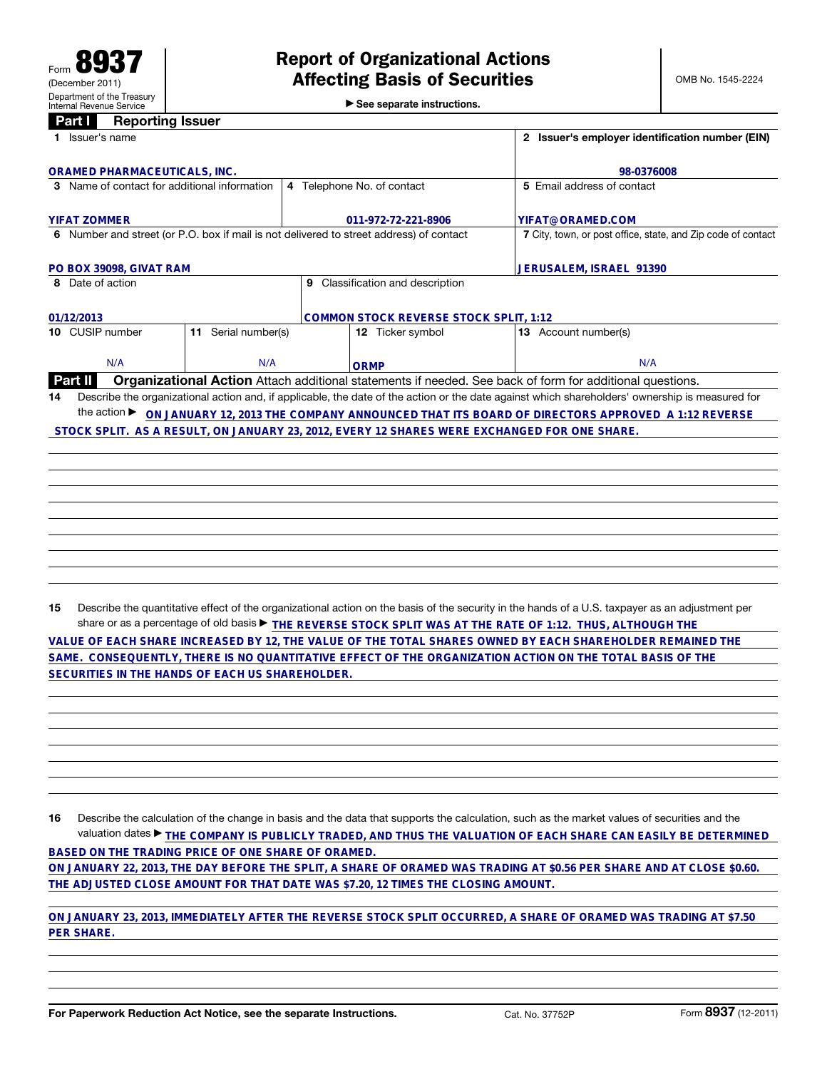## **Panarting Inquiry**

|  | $\blacktriangleright$ See separate instructions. |  |
|--|--------------------------------------------------|--|

| 1 Issuer's name                                                                                                                   |                                     | 2 Issuer's employer identification number (EIN)                                                                                                 |  |  |
|-----------------------------------------------------------------------------------------------------------------------------------|-------------------------------------|-------------------------------------------------------------------------------------------------------------------------------------------------|--|--|
| <b>ORAMED PHARMACEUTICALS, INC.</b>                                                                                               | 98-0376008                          |                                                                                                                                                 |  |  |
| 3 Name of contact for additional information                                                                                      | 4 Telephone No. of contact          | 5 Email address of contact                                                                                                                      |  |  |
| <b>YIFAT ZOMMER</b>                                                                                                               | 011-972-72-221-8906                 | YIFAT@ORAMED.COM                                                                                                                                |  |  |
| 6 Number and street (or P.O. box if mail is not delivered to street address) of contact                                           |                                     | 7 City, town, or post office, state, and Zip code of contact                                                                                    |  |  |
| PO BOX 39098, GIVAT RAM                                                                                                           |                                     | JERUSALEM, ISRAEL 91390                                                                                                                         |  |  |
| 8 Date of action                                                                                                                  | Classification and description<br>9 |                                                                                                                                                 |  |  |
| 01/12/2013                                                                                                                        |                                     | <b>COMMON STOCK REVERSE STOCK SPLIT, 1:12</b>                                                                                                   |  |  |
| 10 CUSIP number<br>Serial number(s)<br>11                                                                                         | 12 Ticker symbol                    | <b>13</b> Account number(s)                                                                                                                     |  |  |
| N/A<br>N/A                                                                                                                        | <b>ORMP</b>                         | N/A                                                                                                                                             |  |  |
| <b>Organizational Action</b> Attach additional statements if needed. See back of form for additional questions.<br>Part II        |                                     |                                                                                                                                                 |  |  |
| 14                                                                                                                                |                                     | Describe the organizational action and, if applicable, the date of the action or the date against which shareholders' ownership is measured for |  |  |
| the action $\blacktriangleright$<br>ON JANUARY 12, 2013 THE COMPANY ANNOUNCED THAT ITS BOARD OF DIRECTORS APPROVED A 1:12 REVERSE |                                     |                                                                                                                                                 |  |  |
|                                                                                                                                   |                                     | STOCK SPLIT. AS A RESULT, ON JANUARY 23, 2012, EVERY 12 SHARES WERE EXCHANGED FOR ONE SHARE.                                                    |  |  |
|                                                                                                                                   |                                     |                                                                                                                                                 |  |  |
|                                                                                                                                   |                                     |                                                                                                                                                 |  |  |
|                                                                                                                                   |                                     |                                                                                                                                                 |  |  |
|                                                                                                                                   |                                     |                                                                                                                                                 |  |  |

15 Describe the quantitative effect of the organizational action on the basis of the security in the hands of a U.S. taxpayer as an adjustment per share or as a percentage of old basis ▶ **THE REVERSE STOCK SPLIT WAS AT THE RATE OF 1:12. THUS, ALTHOUGH THE**

VALUE OF EACH SHARE INCREASED BY 12, THE VALUE OF THE TOTAL SHARES OWNED BY EACH SHAREHOLDER REMAINED THE SAME.<br>SAME. CONSEQUENTLY, THERE IS NO QUANTITATIVE EFFECT OF THE ORGANIZATION ACTION ON THE TOTAL BASIS OF THE SECUR

16 Describe the calculation of the change in basis and the data that supports the calculation, such as the market values of securities and the valuation dates ▶ **THE COMPANY IS PUBLICLY TRADED, AND THUS THE VALUATION OF EACH SHARE CAN EASILY BE DETERMINED BASED ON THE TRADING PRICE OF ONE SHARE OF ORAMED. ON JANUARY 22, 2013, THE DAY BEFORE THE SPLIT, A SHARE OF ORAMED WAS TRADING AT \$0.56 PER SHARE AND AT CLOSE \$0.60. THE ADJUSTED CLOSE AMOUNT FOR THAT DATE WAS \$7.20, 12 TIMES THE CLOSING AMOUNT.**

**ON JANUARY 23, 2013, IMMEDIATELY AFTER THE REVERSE STOCK SPLIT OCCURRED, A SHARE OF ORAMED WAS TRADING AT \$7.50 PER SHARE.**